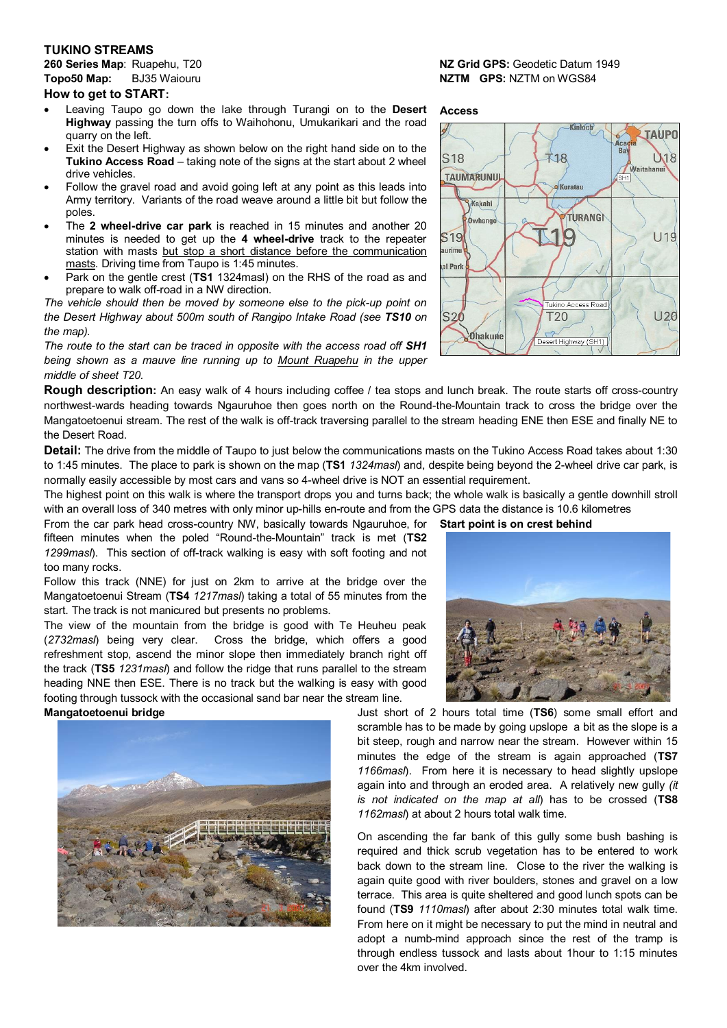## **TUKINO STREAMS**

**Topo50 Map:** BJ35 Waiouru **NZTM GPS:** NZTM on WGS84

# **How to get to START:**

- Leaving Taupo go down the lake through Turangi on to the **Desert Highway** passing the turn offs to Waihohonu, Umukarikari and the road quarry on the left.
- Exit the Desert Highway as shown below on the right hand side on to the **Tukino Access Road** – taking note of the signs at the start about 2 wheel drive vehicles.
- Follow the gravel road and avoid going left at any point as this leads into Army territory. Variants of the road weave around a little bit but follow the poles.
- The **2 wheel-drive car park** is reached in 15 minutes and another 20 minutes is needed to get up the **4 wheel-drive** track to the repeater station with masts but stop a short distance before the communication masts. Driving time from Taupo is 1:45 minutes.
- Park on the gentle crest (**TS1** 1324masl) on the RHS of the road as and prepare to walk off-road in a NW direction.

*The vehicle should then be moved by someone else to the pick-up point on the Desert Highway about 500m south of Rangipo Intake Road (see TS10 on the map).*

*The route to the start can be traced in opposite with the access road off SH1 being shown as a mauve line running up to Mount Ruapehu in the upper middle of sheet T20.*

**Rough description:** An easy walk of 4 hours including coffee / tea stops and lunch break. The route starts off cross-country northwest-wards heading towards Ngauruhoe then goes north on the Round-the-Mountain track to cross the bridge over the Mangatoetoenui stream. The rest of the walk is off-track traversing parallel to the stream heading ENE then ESE and finally NE to the Desert Road.

**Detail:** The drive from the middle of Taupo to just below the communications masts on the Tukino Access Road takes about 1:30 to 1:45 minutes. The place to park is shown on the map (**TS1** *1324masl*) and, despite being beyond the 2-wheel drive car park, is normally easily accessible by most cars and vans so 4-wheel drive is NOT an essential requirement.

The highest point on this walk is where the transport drops you and turns back; the whole walk is basically a gentle downhill stroll with an overall loss of 340 metres with only minor up-hills en-route and from the GPS data the distance is 10.6 kilometres

From the car park head cross-country NW, basically towards Ngauruhoe, for **Start point is on crest behind** fifteen minutes when the poled "Round-the-Mountain" track is met (**TS2** *1299masl*). This section of off-track walking is easy with soft footing and not too many rocks.

Follow this track (NNE) for just on 2km to arrive at the bridge over the Mangatoetoenui Stream (**TS4** *1217masl*) taking a total of 55 minutes from the start. The track is not manicured but presents no problems.

The view of the mountain from the bridge is good with Te Heuheu peak (*2732masl*) being very clear. Cross the bridge, which offers a good refreshment stop, ascend the minor slope then immediately branch right off the track (**TS5** *1231masl*) and follow the ridge that runs parallel to the stream heading NNE then ESE. There is no track but the walking is easy with good footing through tussock with the occasional sand bar near the stream line.



# **260 Series Map**: Ruapehu, T20 **NZ Grid GPS:** Geodetic Datum 1949

## **Access**





**Mangatoetoenui bridge bridge bridge bridge** Just short of 2 hours total time (TS6) some small effort and scramble has to be made by going upslope a bit as the slope is a bit steep, rough and narrow near the stream. However within 15 minutes the edge of the stream is again approached (**TS7** *1166masl*). From here it is necessary to head slightly upslope again into and through an eroded area. A relatively new gully *(it is not indicated on the map at all*) has to be crossed (**TS8** *1162masl*) at about 2 hours total walk time.

> On ascending the far bank of this gully some bush bashing is required and thick scrub vegetation has to be entered to work back down to the stream line. Close to the river the walking is again quite good with river boulders, stones and gravel on a low terrace. This area is quite sheltered and good lunch spots can be found (**TS9** *1110masl*) after about 2:30 minutes total walk time. From here on it might be necessary to put the mind in neutral and adopt a numb-mind approach since the rest of the tramp is through endless tussock and lasts about 1hour to 1:15 minutes over the 4km involved.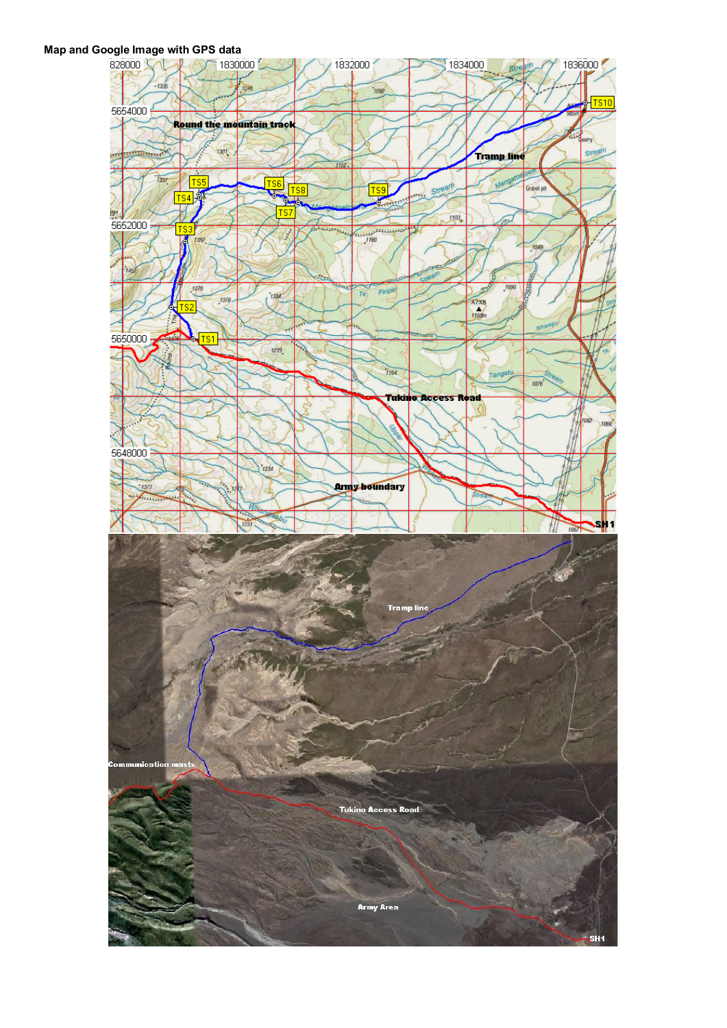# **Map and Google Image with GPS data**<br>a 828000